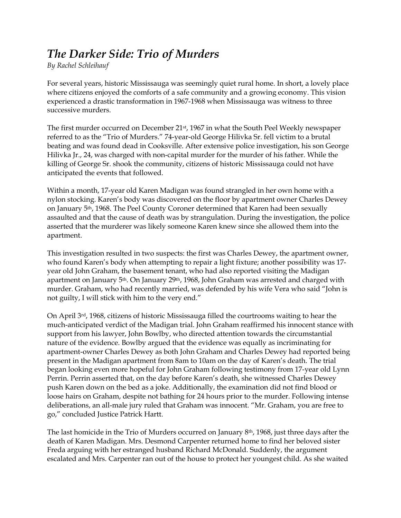## *The Darker Side: Trio of Murders*

*By Rachel Schleihauf*

For several years, historic Mississauga was seemingly quiet rural home. In short, a lovely place where citizens enjoyed the comforts of a safe community and a growing economy. This vision experienced a drastic transformation in 1967-1968 when Mississauga was witness to three successive murders.

The first murder occurred on December 21st, 1967 in what the South Peel Weekly newspaper referred to as the "Trio of Murders." 74-year-old George Hilivka Sr. fell victim to a brutal beating and was found dead in Cooksville. After extensive police investigation, his son George Hilivka Jr., 24, was charged with non-capital murder for the murder of his father. While the killing of George Sr. shook the community, citizens of historic Mississauga could not have anticipated the events that followed.

Within a month, 17-year old Karen Madigan was found strangled in her own home with a nylon stocking. Karen's body was discovered on the floor by apartment owner Charles Dewey on January 5th, 1968. The Peel County Coroner determined that Karen had been sexually assaulted and that the cause of death was by strangulation. During the investigation, the police asserted that the murderer was likely someone Karen knew since she allowed them into the apartment.

This investigation resulted in two suspects: the first was Charles Dewey, the apartment owner, who found Karen's body when attempting to repair a light fixture; another possibility was 17 year old John Graham, the basement tenant, who had also reported visiting the Madigan apartment on January 5th. On January 29th, 1968, John Graham was arrested and charged with murder. Graham, who had recently married, was defended by his wife Vera who said "John is not guilty, I will stick with him to the very end."

On April 3rd, 1968, citizens of historic Mississauga filled the courtrooms waiting to hear the much-anticipated verdict of the Madigan trial. John Graham reaffirmed his innocent stance with support from his lawyer, John Bowlby, who directed attention towards the circumstantial nature of the evidence. Bowlby argued that the evidence was equally as incriminating for apartment-owner Charles Dewey as both John Graham and Charles Dewey had reported being present in the Madigan apartment from 8am to 10am on the day of Karen's death. The trial began looking even more hopeful for John Graham following testimony from 17-year old Lynn Perrin. Perrin asserted that, on the day before Karen's death, she witnessed Charles Dewey push Karen down on the bed as a joke. Additionally, the examination did not find blood or loose hairs on Graham, despite not bathing for 24 hours prior to the murder. Following intense deliberations, an all-male jury ruled that Graham was innocent. "Mr. Graham, you are free to go," concluded Justice Patrick Hartt.

The last homicide in the Trio of Murders occurred on January 8th, 1968, just three days after the death of Karen Madigan. Mrs. Desmond Carpenter returned home to find her beloved sister Freda arguing with her estranged husband Richard McDonald. Suddenly, the argument escalated and Mrs. Carpenter ran out of the house to protect her youngest child. As she waited